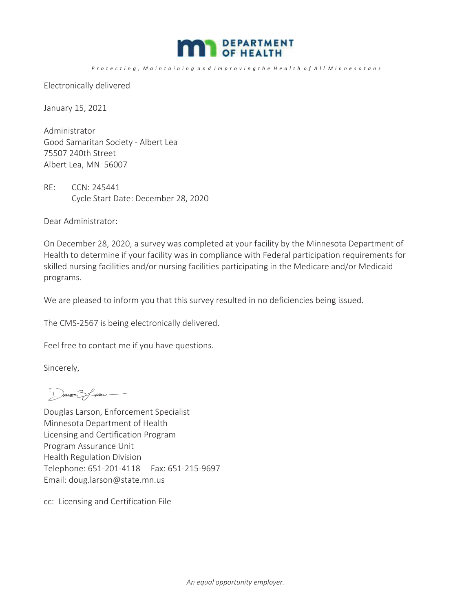

Protecting, Maintaining and Improving the Health of All Minnesotans

Electronically delivered

January 15, 2021

Administrator Good Samaritan Society - Albert Lea 75507 240th Street Albert Lea, MN 56007

RE: CCN: 245441 Cycle Start Date: December 28, 2020

Dear Administrator:

On December 28, 2020, a survey was completed at your facility by the Minnesota Department of Health to determine if your facility was in compliance with Federal participation requirements for skilled nursing facilities and/or nursing facilities participating in the Medicare and/or Medicaid programs.

We are pleased to inform you that this survey resulted in no deficiencies being issued.

The CMS-2567 is being electronically delivered.

Feel free to contact me if you have questions.

Sincerely,

DOUBLES Special

Douglas Larson, Enforcement Specialist Minnesota Department of Health Licensing and Certification Program Program Assurance Unit Health Regulation Division Telephone: 651-201-4118 Fax: 651-215-9697 Email: doug.larson@state.mn.us

cc: Licensing and Certification File